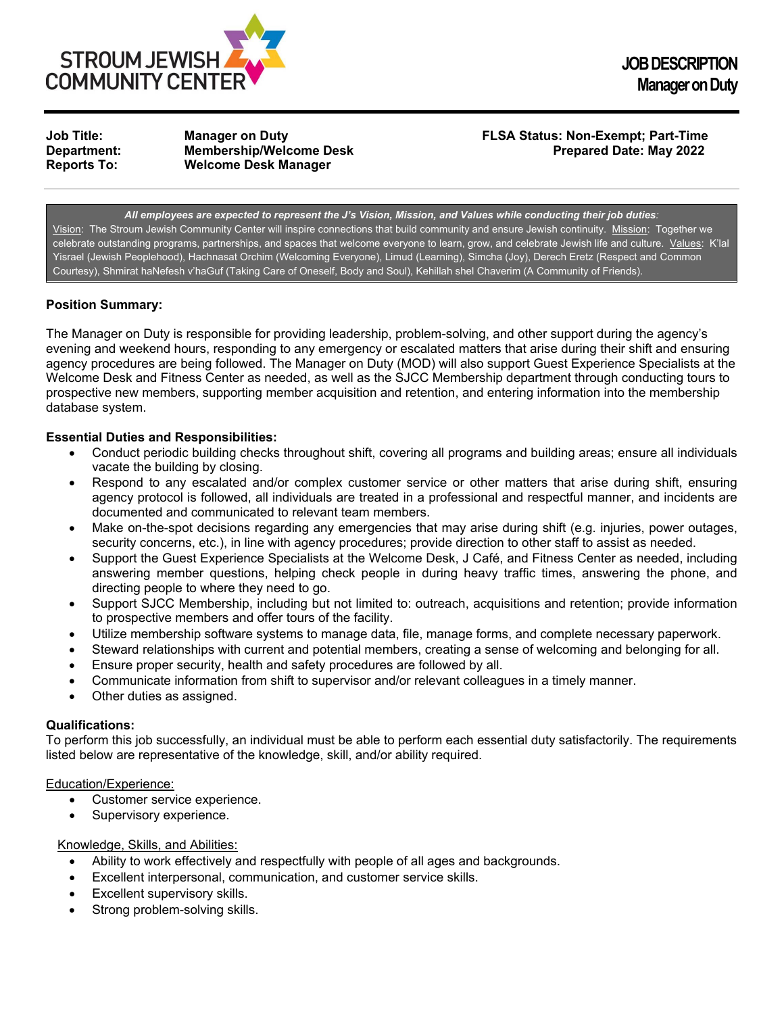

**JOB DESCRIPTION Manager on Duty**

**Membership/Welcome Desk Reports To: Welcome Desk Manager**

# **Job Title: Manager on Duty FLSA Status: Non-Exempt; Part-Time**

*All employees are expected to represent the J's Vision, Mission, and Values while conducting their job duties:* Vision: The Stroum Jewish Community Center will inspire connections that build community and ensure Jewish continuity. Mission: Together we celebrate outstanding programs, partnerships, and spaces that welcome everyone to learn, grow, and celebrate Jewish life and culture. Values: K'lal Yisrael (Jewish Peoplehood), Hachnasat Orchim (Welcoming Everyone), Limud (Learning), Simcha (Joy), Derech Eretz (Respect and Common Courtesy), Shmirat haNefesh v'haGuf (Taking Care of Oneself, Body and Soul), Kehillah shel Chaverim (A Community of Friends).

# **Position Summary:**

The Manager on Duty is responsible for providing leadership, problem-solving, and other support during the agency's evening and weekend hours, responding to any emergency or escalated matters that arise during their shift and ensuring agency procedures are being followed. The Manager on Duty (MOD) will also support Guest Experience Specialists at the Welcome Desk and Fitness Center as needed, as well as the SJCC Membership department through conducting tours to prospective new members, supporting member acquisition and retention, and entering information into the membership database system.

## **Essential Duties and Responsibilities:**

- Conduct periodic building checks throughout shift, covering all programs and building areas; ensure all individuals vacate the building by closing.
- Respond to any escalated and/or complex customer service or other matters that arise during shift, ensuring agency protocol is followed, all individuals are treated in a professional and respectful manner, and incidents are documented and communicated to relevant team members.
- Make on-the-spot decisions regarding any emergencies that may arise during shift (e.g. injuries, power outages, security concerns, etc.), in line with agency procedures; provide direction to other staff to assist as needed.
- Support the Guest Experience Specialists at the Welcome Desk, J Café, and Fitness Center as needed, including answering member questions, helping check people in during heavy traffic times, answering the phone, and directing people to where they need to go.
- Support SJCC Membership, including but not limited to: outreach, acquisitions and retention; provide information to prospective members and offer tours of the facility.
- Utilize membership software systems to manage data, file, manage forms, and complete necessary paperwork.
- Steward relationships with current and potential members, creating a sense of welcoming and belonging for all.
- Ensure proper security, health and safety procedures are followed by all.
- Communicate information from shift to supervisor and/or relevant colleagues in a timely manner.
- Other duties as assigned.

#### **Qualifications:**

To perform this job successfully, an individual must be able to perform each essential duty satisfactorily. The requirements listed below are representative of the knowledge, skill, and/or ability required.

#### Education/Experience:

- Customer service experience.
- Supervisory experience.

#### Knowledge, Skills, and Abilities:

- Ability to work effectively and respectfully with people of all ages and backgrounds.
- Excellent interpersonal, communication, and customer service skills.
- Excellent supervisory skills.
- Strong problem-solving skills.